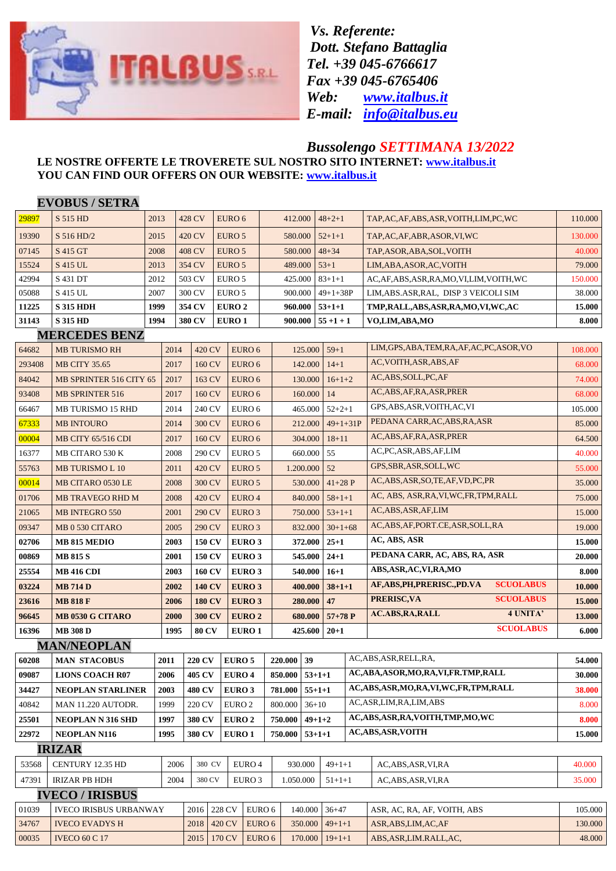

*Vs. Referente: Dott. Stefano Battaglia Tel. +39 045-6766617 Fax +39 045-6765406 Web: [www.italbus.it](http://www.italbus.it/) E-mail: [info@italbus.eu](mailto:info@italbus.eu)*

## *Bussolengo SETTIMANA 13/2022*

## **LE NOSTRE OFFERTE LE TROVERETE SUL NOSTRO SITO INTERNET: [www.italbus.it](http://www.italbus.it/) YOU CAN FIND OUR OFFERS ON OUR WEBSITE: [www.italbus.it](http://www.italbus.it/)**

|        | <b>EVOBUS / SETRA</b>          |                                                                                           |                |               |                         |                   |                  |           |              |                         |                                              |                  |               |
|--------|--------------------------------|-------------------------------------------------------------------------------------------|----------------|---------------|-------------------------|-------------------|------------------|-----------|--------------|-------------------------|----------------------------------------------|------------------|---------------|
| 29897  | S 515 HD                       | 2013                                                                                      |                | 428 CV        | EURO 6                  |                   | 412.000          |           | $48 + 2 + 1$ |                         | TAP,AC,AF,ABS,ASR,VOITH,LIM,PC,WC            |                  | 110.000       |
| 19390  | S 516 HD/2                     | 2015                                                                                      |                | 420 CV        | EURO 5                  |                   | 580.000          |           | $52+1+1$     |                         | TAP, AC, AF, ABR, ASOR, VI, WC               |                  | 130.000       |
| 07145  | S 415 GT                       | 2008                                                                                      |                | 408 CV        | EURO 5                  |                   | 580.000          |           | $48 + 34$    |                         | TAP, ASOR, ABA, SOL, VOITH                   |                  | 40.000        |
| 15524  | S 415 UL                       | 2013                                                                                      |                | 354 CV        | EURO 5                  |                   | 489.000          |           | $53+1$       |                         | LIM, ABA, ASOR, AC, VOITH                    |                  | 79.000        |
| 42994  | S 431 DT                       | 2012                                                                                      |                | 503 CV        | EURO 5                  |                   | 425.000          |           | $83+1+1$     |                         | AC,AF,ABS,ASR,RA,MO,VI,LIM,VOITH,WC          |                  | 150.000       |
| 05088  | S 415 UL                       | 2007                                                                                      |                | 300 CV        | EURO 5                  |                   | 900.000          |           | $49+1+38P$   |                         | LIM, ABS. ASR, RAL, DISP 3 VEICOLI SIM       |                  | 38.000        |
| 11225  | <b>S 315 HDH</b>               | 1999                                                                                      |                | 354 CV        | <b>EURO 2</b>           |                   | 960.000          |           | $53 + 1 + 1$ |                         | TMP,RALL,ABS,ASR,RA,MO,VI,WC,AC              |                  | 15.000        |
| 31143  | <b>S 315 HD</b>                | 1994                                                                                      |                | 380 CV        | <b>EURO 1</b>           |                   | 900.000          |           | $55 + 1 + 1$ |                         | VO,LIM,ABA,MO                                |                  | 8.000         |
|        | <b>MERCEDES BENZ</b>           |                                                                                           |                |               |                         |                   |                  |           |              |                         |                                              |                  |               |
| 64682  | <b>MB TURISMO RH</b>           |                                                                                           | 2014           | 420 CV        |                         | EURO 6            |                  | 125.000   | $59 + 1$     |                         | LIM, GPS, ABA, TEM, RA, AF, AC, PC, ASOR, VO |                  | 108.000       |
| 293408 | <b>MB CITY 35.65</b>           |                                                                                           | 2017           | 160 CV        |                         | EURO 6            |                  | 142.000   |              | $14 + 1$                | AC, VOITH, ASR, ABS, AF                      |                  | 68.000        |
| 84042  | <b>MB SPRINTER 516 CITY 65</b> |                                                                                           | 2017<br>163 CV |               | EURO 6                  |                   | 130.000          |           | $16+1+2$     |                         | AC, ABS, SOLL, PC, AF                        |                  | 74.000        |
| 93408  | <b>MB SPRINTER 516</b>         |                                                                                           | 2017<br>160 CV |               | EURO 6                  |                   | 160.000          |           | 14           |                         | AC, ABS, AF, RA, ASR, PRER                   |                  | 68.000        |
| 66467  | <b>MB TURISMO 15 RHD</b>       |                                                                                           | 2014           | 240 CV        |                         | EURO 6            |                  | 465.000   | $52 + 2 + 1$ |                         | GPS, ABS, ASR, VOITH, AC, VI                 |                  | 105.000       |
| 67333  | <b>MB INTOURO</b>              |                                                                                           | 2014           | 300 CV        |                         | EURO 6            |                  | 212.000   | $49+1+31P$   |                         | PEDANA CARR, AC, ABS, RA, ASR                |                  | 85.000        |
| 00004  | <b>MB CITY 65/516 CDI</b>      |                                                                                           | 2017           | 160 CV        |                         | EURO 6            |                  | 304.000   | $18 + 11$    |                         | AC, ABS, AF, RA, ASR, PRER                   |                  | 64.500        |
| 16377  | MB CITARO 530 K                |                                                                                           | 2008           | 290 CV        |                         | EURO 5            |                  | 660.000   | 55           |                         | AC,PC,ASR,ABS,AF,LIM                         |                  | 40.000        |
| 55763  | <b>MB TURISMO L 10</b>         |                                                                                           | 2011           | 420 CV        |                         | EURO 5            |                  | 1.200.000 | 52           |                         | GPS, SBR, ASR, SOLL, WC                      |                  | 55.000        |
| 00014  | MB CITARO 0530 LE              |                                                                                           | 2008           | 300 CV        |                         | EURO 5            |                  | 530.000   | $41+28$ P    |                         | AC, ABS, ASR, SO, TE, AF, VD, PC, PR         |                  | 35.000        |
| 01706  | MB TRAVEGO RHD M               |                                                                                           | 2008           | 420 CV        |                         | EURO 4            |                  | 840.000   | $58 + 1 + 1$ |                         | AC, ABS, ASR, RA, VI, WC, FR, TPM, RALL      |                  | 75.000        |
| 21065  | <b>MB INTEGRO 550</b>          |                                                                                           | 2001           | 290 CV        |                         | EURO 3            |                  | 750.000   | $53+1+1$     |                         | AC, ABS, ASR, AF, LIM                        |                  |               |
| 09347  | MB 0 530 CITARO                |                                                                                           | 2005           | 290 CV        |                         | EURO 3            |                  | 832.000   | $30+1+68$    |                         | AC, ABS, AF, PORT.CE, ASR, SOLL, RA          |                  | 19.000        |
| 02706  | MB 815 MEDIO                   |                                                                                           | 2003           | <b>150 CV</b> |                         | EURO 3            |                  | 372.000   | $25 + 1$     |                         | AC, ABS, ASR                                 |                  | 15.000        |
| 00869  | <b>MB 815 S</b>                |                                                                                           | 2001           | <b>150 CV</b> |                         | <b>EURO 3</b>     |                  | 545.000   | $24 + 1$     |                         | PEDANA CARR, AC, ABS, RA, ASR                |                  | <b>20.000</b> |
| 25554  | MB 416 CDI                     |                                                                                           | 2003           | <b>160 CV</b> |                         | EURO 3            |                  | 540.000   | $16 + 1$     |                         | ABS, ASR, AC, VI, RA, MO                     |                  | 8.000         |
| 03224  | <b>MB 714 D</b>                |                                                                                           | 2002           | <b>140 CV</b> |                         | EURO 3            |                  | 400.000   | $38 + 1 + 1$ |                         | AF, ABS, PH, PRERISC., PD. VA                | <b>SCUOLABUS</b> | 10.000        |
| 23616  | <b>MB 818 F</b>                |                                                                                           | 2006           | <b>180 CV</b> |                         | EURO 3            |                  | 280.000   | 47           |                         | PRERISC, VA                                  | <b>SCUOLABUS</b> | 15.000        |
| 96645  | MB 0530 G CITARO               |                                                                                           | 2000           | <b>300 CV</b> |                         | EURO <sub>2</sub> |                  | 680.000   | $57+78P$     |                         | <b>AC.ABS, RA, RALL</b>                      | 4 UNITA'         | 13.000        |
| 16396  | <b>MB 308 D</b>                |                                                                                           | 1995           | <b>80 CV</b>  |                         | <b>EURO 1</b>     |                  | 425.600   | $20 + 1$     |                         |                                              | <b>SCUOLABUS</b> | 6.000         |
|        | <b>MAN/NEOPLAN</b>             |                                                                                           |                |               |                         |                   |                  |           |              |                         |                                              |                  |               |
| 60208  |                                | <b>220 CV</b><br>${\bf 2011}$                                                             |                | EURO 5        |                         |                   | 220.000 39       |           |              | AC, ABS, ASR, RELL, RA, | 54.000                                       |                  |               |
| 09087  | <b>LIONS COACH R07</b>         | 2006                                                                                      |                | 405 CV        | <b>EURO 4</b>           |                   | $850.000$ 53+1+1 |           |              |                         | AC,ABA,ASOR,MO,RA,VI,FR.TMP,RALL             | 30.000           |               |
| 34427  | NEOPLAN STARLINER              | 2003                                                                                      |                | 480 CV        | <b>EURO 3</b>           |                   | 781.000          | $55+1+1$  |              |                         | AC, ABS, ASR, MO, RA, VI, WC, FR, TPM, RALL  |                  | 38.000        |
| 40842  | MAN 11.220 AUTODR.             | AC, ASR, LIM, RA, LIM, ABS<br>1999<br>220 CV<br>EURO <sub>2</sub><br>800.000<br>$36 + 10$ |                |               | 8.000                   |                   |                  |           |              |                         |                                              |                  |               |
| 25501  | <b>NEOPLAN N 316 SHD</b>       | 1997                                                                                      |                | 380 CV        |                         | <b>EURO 2</b>     | 750.000          |           | $49 + 1 + 2$ |                         | AC, ABS, ASR, RA, VOITH, TMP, MO, WC         | 8.000            |               |
| 22972  | <b>NEOPLAN N116</b>            | 1995                                                                                      |                | <b>380 CV</b> |                         | <b>EURO1</b>      | 750.000          |           | $53+1+1$     |                         | <b>AC, ABS, ASR, VOITH</b>                   | 15.000           |               |
|        | <b>IRIZAR</b>                  |                                                                                           |                |               |                         |                   |                  |           |              |                         |                                              |                  |               |
| 53568  | CENTURY 12.35 HD               |                                                                                           | 2006           | 380 CV        |                         | EURO 4            |                  | 930.000   | $49 + 1 + 1$ |                         | AC, ABS, ASR, VI, RA                         |                  | 40.000        |
| 47391  | <b>IRIZAR PB HDH</b>           |                                                                                           | 2004           | 380 CV        |                         | EURO 3            | 1.050.000        |           | $51 + 1 + 1$ |                         | AC, ABS, ASR, VI, RA                         |                  | 35.000        |
|        | <b>IVECO / IRISBUS</b>         |                                                                                           |                |               |                         |                   |                  |           |              |                         |                                              |                  |               |
| 01039  | <b>IVECO IRISBUS URBANWAY</b>  |                                                                                           |                |               | 2016 228 CV             | EURO 6            |                  | 140.000   | $36 + 47$    |                         | ASR, AC, RA, AF, VOITH, ABS                  |                  | 105.000       |
| 34767  | <b>IVECO EVADYS H</b>          |                                                                                           |                |               | 2018 420 CV             | EURO 6            |                  | 350.000   | $49+1+1$     |                         | ASR, ABS, LIM, AC, AF                        | 130.000          |               |
| 00035  | <b>IVECO 60 C 17</b>           |                                                                                           |                |               | EURO 6<br>2015   170 CV |                   | 170.000          |           | $19+1+1$     |                         | ABS, ASR, LIM. RALL, AC,                     |                  | 48.000        |